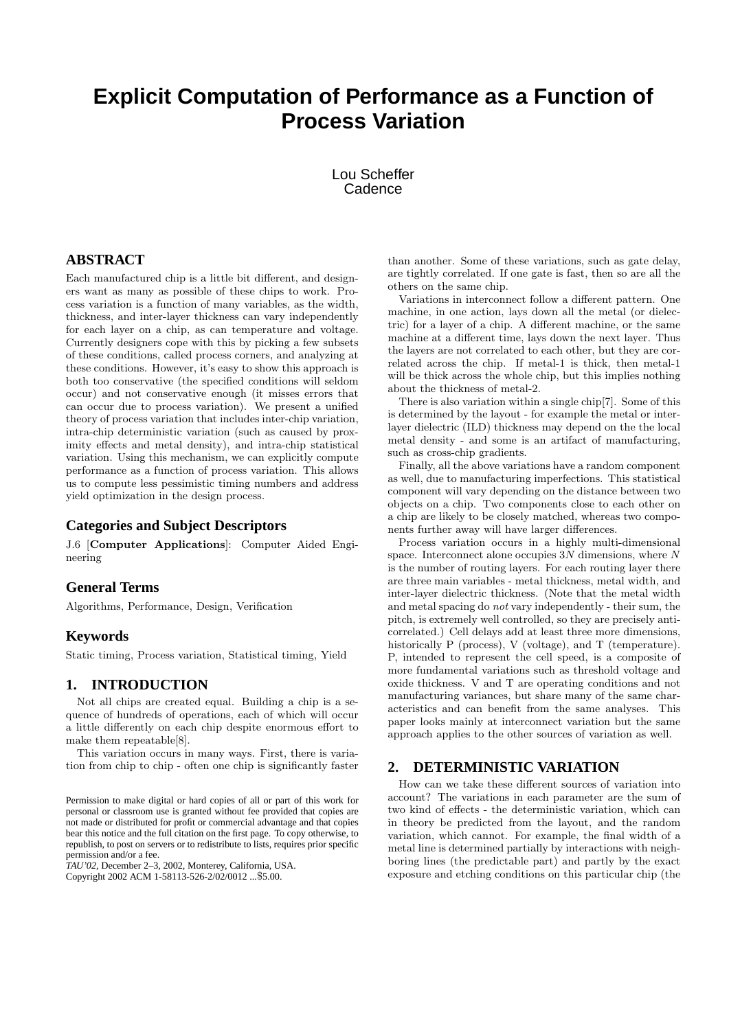# **Explicit Computation of Performance as a Function of Process Variation**

Lou Scheffer **Cadence** 

# **ABSTRACT**

Each manufactured chip is a little bit different, and designers want as many as possible of these chips to work. Process variation is a function of many variables, as the width, thickness, and inter-layer thickness can vary independently for each layer on a chip, as can temperature and voltage. Currently designers cope with this by picking a few subsets of these conditions, called process corners, and analyzing at these conditions. However, it's easy to show this approach is both too conservative (the specified conditions will seldom occur) and not conservative enough (it misses errors that can occur due to process variation). We present a unified theory of process variation that includes inter-chip variation, intra-chip deterministic variation (such as caused by proximity effects and metal density), and intra-chip statistical variation. Using this mechanism, we can explicitly compute performance as a function of process variation. This allows us to compute less pessimistic timing numbers and address yield optimization in the design process.

#### **Categories and Subject Descriptors**

J.6 [Computer Applications]: Computer Aided Engineering

# **General Terms**

Algorithms, Performance, Design, Verification

#### **Keywords**

Static timing, Process variation, Statistical timing, Yield

#### **1. INTRODUCTION**

Not all chips are created equal. Building a chip is a sequence of hundreds of operations, each of which will occur a little differently on each chip despite enormous effort to make them repeatable[8].

This variation occurs in many ways. First, there is variation from chip to chip - often one chip is significantly faster

*TAU'02,* December 2–3, 2002, Monterey, California, USA. Copyright 2002 ACM 1-58113-526-2/02/0012 ...\$5.00.

than another. Some of these variations, such as gate delay, are tightly correlated. If one gate is fast, then so are all the others on the same chip.

Variations in interconnect follow a different pattern. One machine, in one action, lays down all the metal (or dielectric) for a layer of a chip. A different machine, or the same machine at a different time, lays down the next layer. Thus the layers are not correlated to each other, but they are correlated across the chip. If metal-1 is thick, then metal-1 will be thick across the whole chip, but this implies nothing about the thickness of metal-2.

There is also variation within a single chip[7]. Some of this is determined by the layout - for example the metal or interlayer dielectric (ILD) thickness may depend on the the local metal density - and some is an artifact of manufacturing, such as cross-chip gradients.

Finally, all the above variations have a random component as well, due to manufacturing imperfections. This statistical component will vary depending on the distance between two objects on a chip. Two components close to each other on a chip are likely to be closely matched, whereas two components further away will have larger differences.

Process variation occurs in a highly multi-dimensional space. Interconnect alone occupies  $3N$  dimensions, where N is the number of routing layers. For each routing layer there are three main variables - metal thickness, metal width, and inter-layer dielectric thickness. (Note that the metal width and metal spacing do not vary independently - their sum, the pitch, is extremely well controlled, so they are precisely anticorrelated.) Cell delays add at least three more dimensions, historically P (process), V (voltage), and T (temperature). P, intended to represent the cell speed, is a composite of more fundamental variations such as threshold voltage and oxide thickness. V and T are operating conditions and not manufacturing variances, but share many of the same characteristics and can benefit from the same analyses. This paper looks mainly at interconnect variation but the same approach applies to the other sources of variation as well.

#### **2. DETERMINISTIC VARIATION**

How can we take these different sources of variation into account? The variations in each parameter are the sum of two kind of effects - the deterministic variation, which can in theory be predicted from the layout, and the random variation, which cannot. For example, the final width of a metal line is determined partially by interactions with neighboring lines (the predictable part) and partly by the exact exposure and etching conditions on this particular chip (the

Permission to make digital or hard copies of all or part of this work for personal or classroom use is granted without fee provided that copies are not made or distributed for profit or commercial advantage and that copies bear this notice and the full citation on the first page. To copy otherwise, to republish, to post on servers or to redistribute to lists, requires prior specific permission and/or a fee.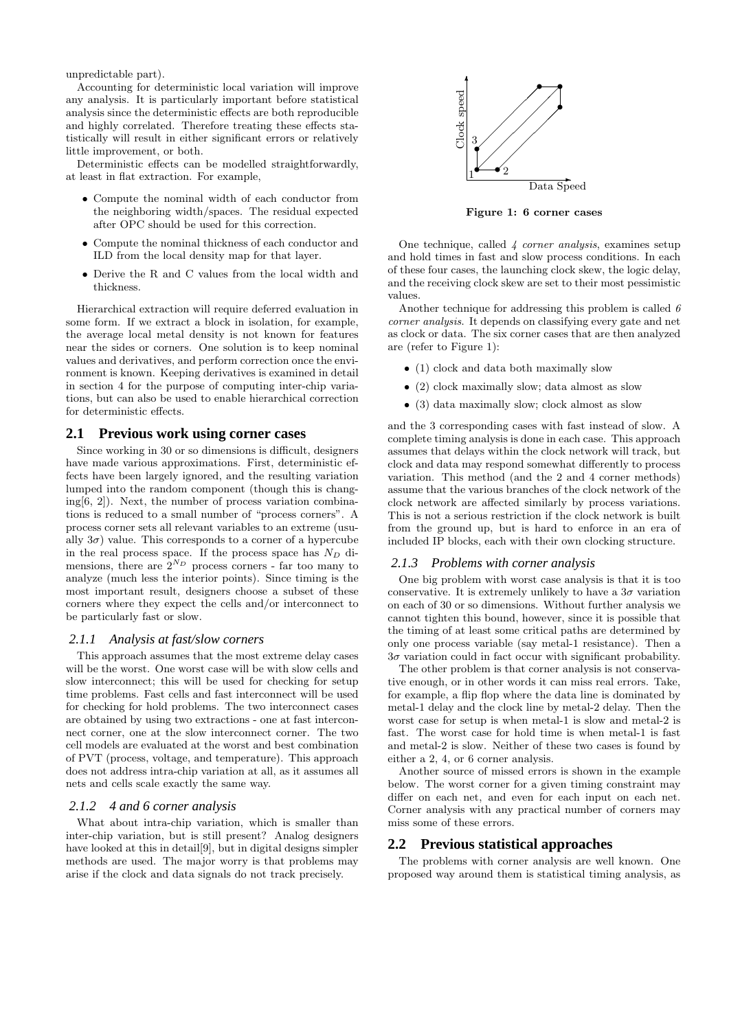unpredictable part).

Accounting for deterministic local variation will improve any analysis. It is particularly important before statistical analysis since the deterministic effects are both reproducible and highly correlated. Therefore treating these effects statistically will result in either significant errors or relatively little improvement, or both.

Deterministic effects can be modelled straightforwardly, at least in flat extraction. For example,

- Compute the nominal width of each conductor from the neighboring width/spaces. The residual expected after OPC should be used for this correction.
- Compute the nominal thickness of each conductor and ILD from the local density map for that layer.
- Derive the R and C values from the local width and thickness.

Hierarchical extraction will require deferred evaluation in some form. If we extract a block in isolation, for example, the average local metal density is not known for features near the sides or corners. One solution is to keep nominal values and derivatives, and perform correction once the environment is known. Keeping derivatives is examined in detail in section 4 for the purpose of computing inter-chip variations, but can also be used to enable hierarchical correction for deterministic effects.

#### **2.1 Previous work using corner cases**

Since working in 30 or so dimensions is difficult, designers have made various approximations. First, deterministic effects have been largely ignored, and the resulting variation lumped into the random component (though this is chang $ing[6, 2]$ . Next, the number of process variation combinations is reduced to a small number of "process corners". A process corner sets all relevant variables to an extreme (usually  $3\sigma$ ) value. This corresponds to a corner of a hypercube in the real process space. If the process space has  $N_D$  dimensions, there are  $2^{N_D}$  process corners - far too many to analyze (much less the interior points). Since timing is the most important result, designers choose a subset of these corners where they expect the cells and/or interconnect to be particularly fast or slow.

#### *2.1.1 Analysis at fast/slow corners*

This approach assumes that the most extreme delay cases will be the worst. One worst case will be with slow cells and slow interconnect; this will be used for checking for setup time problems. Fast cells and fast interconnect will be used for checking for hold problems. The two interconnect cases are obtained by using two extractions - one at fast interconnect corner, one at the slow interconnect corner. The two cell models are evaluated at the worst and best combination of PVT (process, voltage, and temperature). This approach does not address intra-chip variation at all, as it assumes all nets and cells scale exactly the same way.

#### *2.1.2 4 and 6 corner analysis*

What about intra-chip variation, which is smaller than inter-chip variation, but is still present? Analog designers have looked at this in detail[9], but in digital designs simpler methods are used. The major worry is that problems may arise if the clock and data signals do not track precisely.



Figure 1: 6 corner cases

One technique, called 4 corner analysis, examines setup and hold times in fast and slow process conditions. In each of these four cases, the launching clock skew, the logic delay, and the receiving clock skew are set to their most pessimistic values.

Another technique for addressing this problem is called  $6$ corner analysis. It depends on classifying every gate and net as clock or data. The six corner cases that are then analyzed are (refer to Figure 1):

- (1) clock and data both maximally slow
- (2) clock maximally slow; data almost as slow
- (3) data maximally slow; clock almost as slow

and the 3 corresponding cases with fast instead of slow. A complete timing analysis is done in each case. This approach assumes that delays within the clock network will track, but clock and data may respond somewhat differently to process variation. This method (and the 2 and 4 corner methods) assume that the various branches of the clock network of the clock network are affected similarly by process variations. This is not a serious restriction if the clock network is built from the ground up, but is hard to enforce in an era of included IP blocks, each with their own clocking structure.

#### *2.1.3 Problems with corner analysis*

One big problem with worst case analysis is that it is too conservative. It is extremely unlikely to have a  $3\sigma$  variation on each of 30 or so dimensions. Without further analysis we cannot tighten this bound, however, since it is possible that the timing of at least some critical paths are determined by only one process variable (say metal-1 resistance). Then a  $3\sigma$  variation could in fact occur with significant probability.

The other problem is that corner analysis is not conservative enough, or in other words it can miss real errors. Take, for example, a flip flop where the data line is dominated by metal-1 delay and the clock line by metal-2 delay. Then the worst case for setup is when metal-1 is slow and metal-2 is fast. The worst case for hold time is when metal-1 is fast and metal-2 is slow. Neither of these two cases is found by either a 2, 4, or 6 corner analysis.

Another source of missed errors is shown in the example below. The worst corner for a given timing constraint may differ on each net, and even for each input on each net. Corner analysis with any practical number of corners may miss some of these errors.

#### **2.2 Previous statistical approaches**

The problems with corner analysis are well known. One proposed way around them is statistical timing analysis, as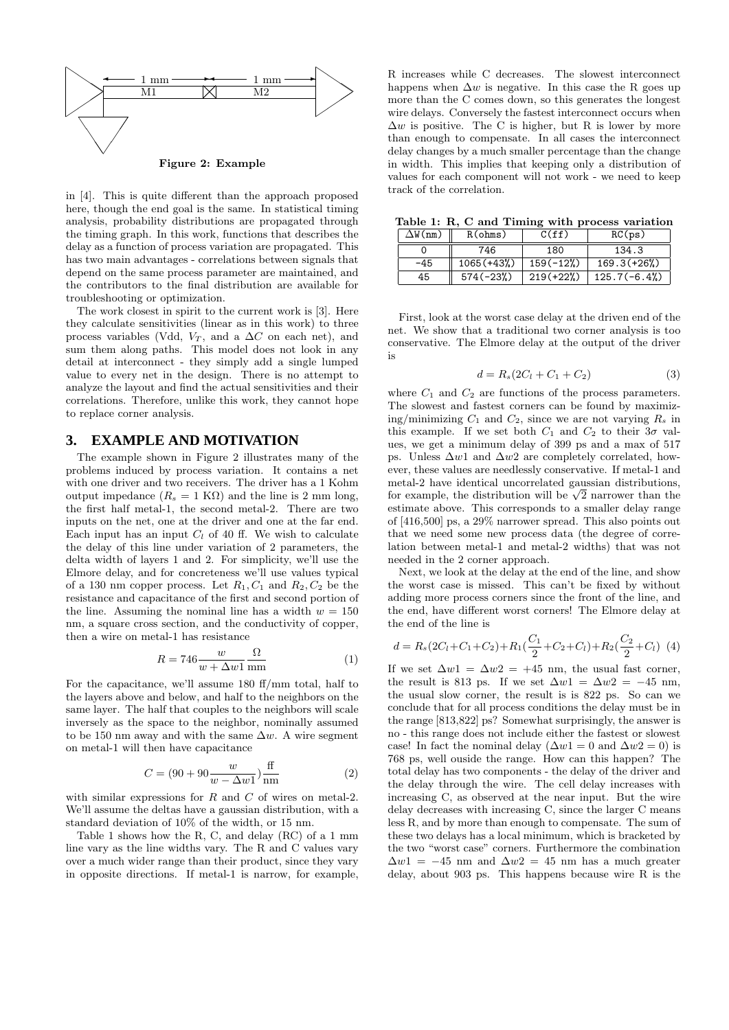

in [4]. This is quite different than the approach proposed here, though the end goal is the same. In statistical timing analysis, probability distributions are propagated through the timing graph. In this work, functions that describes the delay as a function of process variation are propagated. This has two main advantages - correlations between signals that depend on the same process parameter are maintained, and the contributors to the final distribution are available for

The work closest in spirit to the current work is [3]. Here they calculate sensitivities (linear as in this work) to three process variables (Vdd,  $V_T$ , and a  $\Delta C$  on each net), and sum them along paths. This model does not look in any detail at interconnect - they simply add a single lumped value to every net in the design. There is no attempt to analyze the layout and find the actual sensitivities and their correlations. Therefore, unlike this work, they cannot hope to replace corner analysis.

#### **3. EXAMPLE AND MOTIVATION**

troubleshooting or optimization.

The example shown in Figure 2 illustrates many of the problems induced by process variation. It contains a net with one driver and two receivers. The driver has a 1 Kohm output impedance  $(R_s = 1 \text{ KΩ})$  and the line is 2 mm long, the first half metal-1, the second metal-2. There are two inputs on the net, one at the driver and one at the far end. Each input has an input  $C_l$  of 40 ff. We wish to calculate the delay of this line under variation of 2 parameters, the delta width of layers 1 and 2. For simplicity, we'll use the Elmore delay, and for concreteness we'll use values typical of a 130 nm copper process. Let  $R_1, C_1$  and  $R_2, C_2$  be the resistance and capacitance of the first and second portion of the line. Assuming the nominal line has a width  $w = 150$ nm, a square cross section, and the conductivity of copper, then a wire on metal-1 has resistance

$$
R = 746 \frac{w}{w + \Delta w 1} \frac{\Omega}{\text{mm}}
$$
 (1)

For the capacitance, we'll assume 180 ff/mm total, half to the layers above and below, and half to the neighbors on the same layer. The half that couples to the neighbors will scale inversely as the space to the neighbor, nominally assumed to be 150 nm away and with the same  $\Delta w$ . A wire segment on metal-1 will then have capacitance

$$
C = (90 + 90 \frac{w}{w - \Delta w1}) \frac{\text{ff}}{\text{nm}}
$$
 (2)

with similar expressions for  $R$  and  $C$  of wires on metal-2. We'll assume the deltas have a gaussian distribution, with a standard deviation of 10% of the width, or 15 nm.

Table 1 shows how the R, C, and delay (RC) of a 1 mm line vary as the line widths vary. The R and C values vary over a much wider range than their product, since they vary in opposite directions. If metal-1 is narrow, for example,

R increases while C decreases. The slowest interconnect happens when  $\Delta w$  is negative. In this case the R goes up more than the C comes down, so this generates the longest wire delays. Conversely the fastest interconnect occurs when  $\Delta w$  is positive. The C is higher, but R is lower by more than enough to compensate. In all cases the interconnect delay changes by a much smaller percentage than the change in width. This implies that keeping only a distribution of values for each component will not work - we need to keep track of the correlation.

Table 1: R, C and Timing with process variation

| $\Delta$ W(nm) | R(ohns)       | C(ff)       | RC(ps)         |
|----------------|---------------|-------------|----------------|
|                | 746           | 180         | 134.3          |
| -45            | $1065 (+43%)$ | $159(-12%)$ | $169.3(+26%)$  |
| 45             | $574(-23%)$   | $219(+22%)$ | $125.7(-6.4%)$ |

First, look at the worst case delay at the driven end of the net. We show that a traditional two corner analysis is too conservative. The Elmore delay at the output of the driver is

$$
d = R_s(2C_l + C_1 + C_2)
$$
 (3)

where  $C_1$  and  $C_2$  are functions of the process parameters. The slowest and fastest corners can be found by maximizing/minimizing  $C_1$  and  $C_2$ , since we are not varying  $R_s$  in this example. If we set both  $C_1$  and  $C_2$  to their  $3\sigma$  values, we get a minimum delay of 399 ps and a max of 517 ps. Unless  $\Delta w1$  and  $\Delta w2$  are completely correlated, however, these values are needlessly conservative. If metal-1 and metal-2 have identical uncorrelated gaussian distributions, metal-2 have identical uncorrelated gaussian distributions,<br>for example, the distribution will be  $\sqrt{2}$  narrower than the estimate above. This corresponds to a smaller delay range of [416,500] ps, a 29% narrower spread. This also points out that we need some new process data (the degree of correlation between metal-1 and metal-2 widths) that was not needed in the 2 corner approach.

Next, we look at the delay at the end of the line, and show the worst case is missed. This can't be fixed by without adding more process corners since the front of the line, and the end, have different worst corners! The Elmore delay at the end of the line is

$$
d = R_s(2C_l + C_1 + C_2) + R_1(\frac{C_1}{2} + C_2 + C_l) + R_2(\frac{C_2}{2} + C_l)
$$
 (4)

If we set  $\Delta w_1 = \Delta w_2 = +45$  nm, the usual fast corner, the result is 813 ps. If we set  $\Delta w1 = \Delta w2 = -45$  nm, the usual slow corner, the result is is 822 ps. So can we conclude that for all process conditions the delay must be in the range [813,822] ps? Somewhat surprisingly, the answer is no - this range does not include either the fastest or slowest case! In fact the nominal delay  $(\Delta w1 = 0$  and  $\Delta w2 = 0)$  is 768 ps, well ouside the range. How can this happen? The total delay has two components - the delay of the driver and the delay through the wire. The cell delay increases with increasing C, as observed at the near input. But the wire delay decreases with increasing C, since the larger C means less R, and by more than enough to compensate. The sum of these two delays has a local minimum, which is bracketed by the two "worst case" corners. Furthermore the combination  $\Delta w_1 = -45$  nm and  $\Delta w_2 = 45$  nm has a much greater delay, about 903 ps. This happens because wire R is the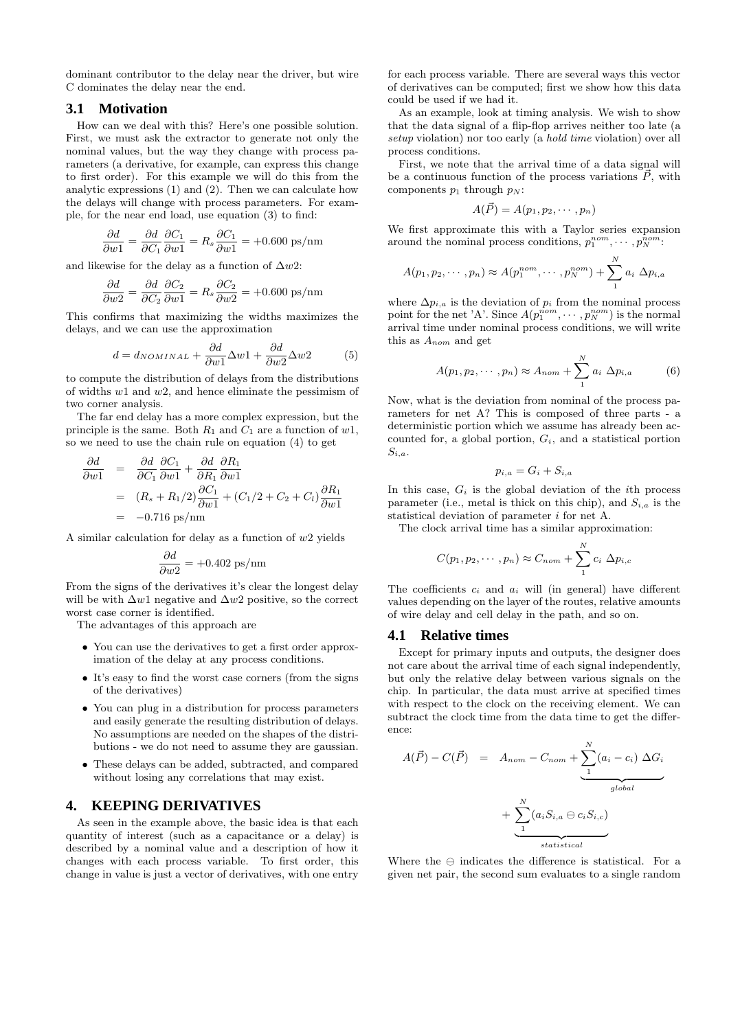dominant contributor to the delay near the driver, but wire C dominates the delay near the end.

#### **3.1 Motivation**

How can we deal with this? Here's one possible solution. First, we must ask the extractor to generate not only the nominal values, but the way they change with process parameters (a derivative, for example, can express this change to first order). For this example we will do this from the analytic expressions (1) and (2). Then we can calculate how the delays will change with process parameters. For example, for the near end load, use equation (3) to find:

$$
\frac{\partial d}{\partial w_1} = \frac{\partial d}{\partial C_1} \frac{\partial C_1}{\partial w_1} = R_s \frac{\partial C_1}{\partial w_1} = +0.600 \text{ ps/nm}
$$

and likewise for the delay as a function of  $\Delta w2$ :

$$
\frac{\partial d}{\partial w^2} = \frac{\partial d}{\partial C_2} \frac{\partial C_2}{\partial w^1} = R_s \frac{\partial C_2}{\partial w^2} = +0.600 \text{ ps/mm}
$$

This confirms that maximizing the widths maximizes the delays, and we can use the approximation

$$
d = d_{NOMINAL} + \frac{\partial d}{\partial w_1} \Delta w_1 + \frac{\partial d}{\partial w_2} \Delta w_2 \tag{5}
$$

to compute the distribution of delays from the distributions of widths w1 and w2, and hence eliminate the pessimism of two corner analysis.

The far end delay has a more complex expression, but the principle is the same. Both  $R_1$  and  $C_1$  are a function of w1, so we need to use the chain rule on equation (4) to get

$$
\frac{\partial d}{\partial w_1} = \frac{\partial d}{\partial C_1} \frac{\partial C_1}{\partial w_1} + \frac{\partial d}{\partial R_1} \frac{\partial R_1}{\partial w_1}
$$
  
=  $(R_s + R_1/2) \frac{\partial C_1}{\partial w_1} + (C_1/2 + C_2 + C_1) \frac{\partial R_1}{\partial w_1}$   
= -0.716 ps/mm

A similar calculation for delay as a function of  $w2$  yields

$$
\frac{\partial d}{\partial w^2} = +0.402 \text{ ps/nm}
$$

From the signs of the derivatives it's clear the longest delay will be with  $\Delta w1$  negative and  $\Delta w2$  positive, so the correct worst case corner is identified.

The advantages of this approach are

- You can use the derivatives to get a first order approximation of the delay at any process conditions.
- It's easy to find the worst case corners (from the signs of the derivatives)
- You can plug in a distribution for process parameters and easily generate the resulting distribution of delays. No assumptions are needed on the shapes of the distributions - we do not need to assume they are gaussian.
- These delays can be added, subtracted, and compared without losing any correlations that may exist.

## **4. KEEPING DERIVATIVES**

As seen in the example above, the basic idea is that each quantity of interest (such as a capacitance or a delay) is described by a nominal value and a description of how it changes with each process variable. To first order, this change in value is just a vector of derivatives, with one entry

for each process variable. There are several ways this vector of derivatives can be computed; first we show how this data could be used if we had it.

As an example, look at timing analysis. We wish to show that the data signal of a flip-flop arrives neither too late (a setup violation) nor too early (a *hold time* violation) over all process conditions.

First, we note that the arrival time of a data signal will be a continuous function of the process variations  $\vec{P}$ , with components  $p_1$  through  $p_N$ :

$$
A(\vec{P})=A(p_1,p_2,\cdots,p_n)
$$

We first approximate this with a Taylor series expansion around the nominal process conditions,  $p_1^{nom}, \dots, p_N^{nom}$ :

$$
A(p_1, p_2, \cdots, p_n) \approx A(p_1^{nom}, \cdots, p_N^{nom}) + \sum_1^N a_i \; \Delta p_{i,a}
$$

where  $\Delta p_{i,a}$  is the deviation of  $p_i$  from the nominal process point for the net 'A'. Since  $A(p_1^{nom}, \dots, p_N^{nom})$  is the normal arrival time under nominal process conditions, we will write this as  $A_{nom}$  and get

$$
A(p_1, p_2, \cdots, p_n) \approx A_{nom} + \sum_{1}^{N} a_i \Delta p_{i,a} \tag{6}
$$

Now, what is the deviation from nominal of the process parameters for net A? This is composed of three parts - a deterministic portion which we assume has already been accounted for, a global portion,  $G_i$ , and a statistical portion  $S_{i,a}$ .

$$
p_{i,a} = G_i + S_{i,a}
$$

In this case,  $G_i$  is the global deviation of the *i*th process parameter (i.e., metal is thick on this chip), and  $S_{i,a}$  is the statistical deviation of parameter i for net A.

The clock arrival time has a similar approximation:

$$
C(p_1, p_2, \cdots, p_n) \approx C_{nom} + \sum_{1}^{N} c_i \; \Delta p_{i,c}
$$

The coefficients  $c_i$  and  $a_i$  will (in general) have different values depending on the layer of the routes, relative amounts of wire delay and cell delay in the path, and so on.

#### **4.1 Relative times**

Except for primary inputs and outputs, the designer does not care about the arrival time of each signal independently, but only the relative delay between various signals on the chip. In particular, the data must arrive at specified times with respect to the clock on the receiving element. We can subtract the clock time from the data time to get the difference:

$$
A(\vec{P}) - C(\vec{P}) = A_{nom} - C_{nom} + \underbrace{\sum_{1}^{N} (a_i - c_i) \Delta G_i}_{global}
$$

$$
+ \underbrace{\sum_{1}^{N} (a_i S_{i,a} \ominus c_i S_{i,c})}_{statistical}
$$

Where the  $\ominus$  indicates the difference is statistical. For a given net pair, the second sum evaluates to a single random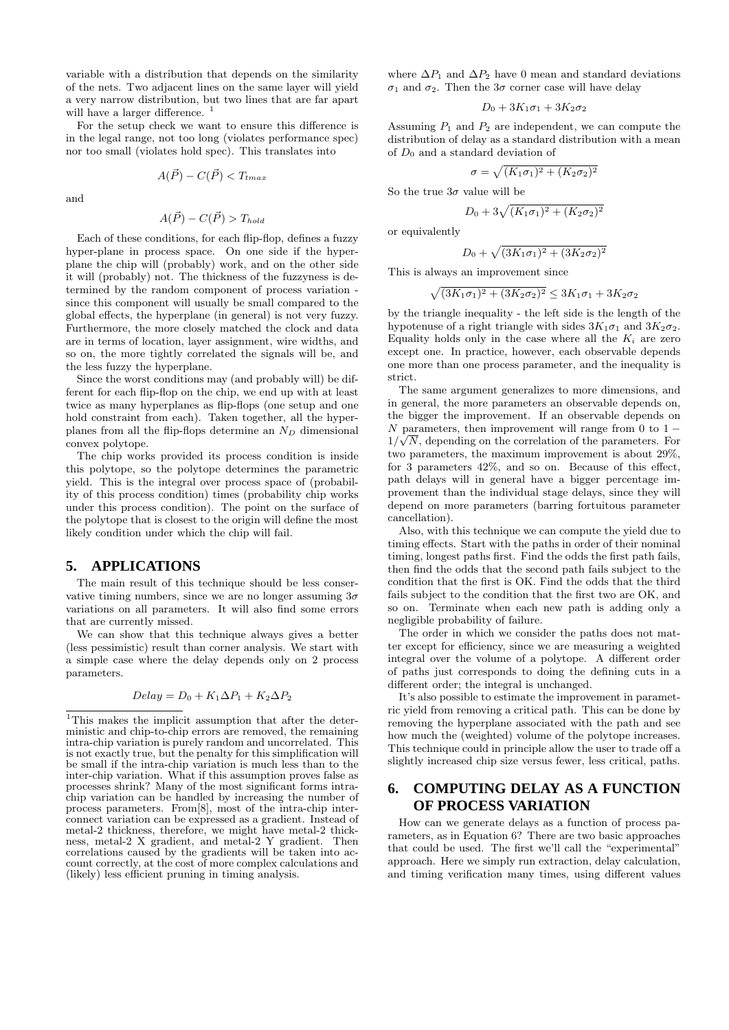variable with a distribution that depends on the similarity of the nets. Two adjacent lines on the same layer will yield a very narrow distribution, but two lines that are far apart will have a larger difference.<sup>1</sup>

For the setup check we want to ensure this difference is in the legal range, not too long (violates performance spec) nor too small (violates hold spec). This translates into

$$
A(\vec{P}) - C(\vec{P}) < T_{tmax}
$$

and

$$
A(\vec{P}) - C(\vec{P}) > T_{hold}
$$

Each of these conditions, for each flip-flop, defines a fuzzy hyper-plane in process space. On one side if the hyperplane the chip will (probably) work, and on the other side it will (probably) not. The thickness of the fuzzyness is determined by the random component of process variation since this component will usually be small compared to the global effects, the hyperplane (in general) is not very fuzzy. Furthermore, the more closely matched the clock and data are in terms of location, layer assignment, wire widths, and so on, the more tightly correlated the signals will be, and the less fuzzy the hyperplane.

Since the worst conditions may (and probably will) be different for each flip-flop on the chip, we end up with at least twice as many hyperplanes as flip-flops (one setup and one hold constraint from each). Taken together, all the hyperplanes from all the flip-flops determine an  $N_D$  dimensional convex polytope.

The chip works provided its process condition is inside this polytope, so the polytope determines the parametric yield. This is the integral over process space of (probability of this process condition) times (probability chip works under this process condition). The point on the surface of the polytope that is closest to the origin will define the most likely condition under which the chip will fail.

#### **5. APPLICATIONS**

The main result of this technique should be less conservative timing numbers, since we are no longer assuming  $3\sigma$ variations on all parameters. It will also find some errors that are currently missed.

We can show that this technique always gives a better (less pessimistic) result than corner analysis. We start with a simple case where the delay depends only on 2 process parameters.

$$
Delay = D_0 + K_1 \Delta P_1 + K_2 \Delta P_2
$$

where  $\Delta P_1$  and  $\Delta P_2$  have 0 mean and standard deviations  $\sigma_1$  and  $\sigma_2$ . Then the  $3\sigma$  corner case will have delay

$$
D_0+3K_1\sigma_1+3K_2\sigma_2
$$

Assuming  $P_1$  and  $P_2$  are independent, we can compute the distribution of delay as a standard distribution with a mean of  $D_0$  and a standard deviation of

$$
\sigma = \sqrt{(K_1\sigma_1)^2 + (K_2\sigma_2)^2}
$$

So the true  $3\sigma$  value will be

$$
D_0 + 3\sqrt{(K_1\sigma_1)^2 + (K_2\sigma_2)^2}
$$

or equivalently

$$
D_0 + \sqrt{(3K_1\sigma_1)^2 + (3K_2\sigma_2)^2}
$$

This is always an improvement since

$$
\sqrt{(3K_1\sigma_1)^2 + (3K_2\sigma_2)^2} \le 3K_1\sigma_1 + 3K_2\sigma_2
$$

by the triangle inequality - the left side is the length of the hypotenuse of a right triangle with sides  $3K_1\sigma_1$  and  $3K_2\sigma_2$ . Equality holds only in the case where all the  $K_i$  are zero except one. In practice, however, each observable depends one more than one process parameter, and the inequality is strict.

The same argument generalizes to more dimensions, and in general, the more parameters an observable depends on, the bigger the improvement. If an observable depends on  $N$  parameters, then improvement will range from 0 to  $1 1/\sqrt{N}$ , depending on the correlation of the parameters. For two parameters, the maximum improvement is about 29%, for 3 parameters 42%, and so on. Because of this effect, path delays will in general have a bigger percentage improvement than the individual stage delays, since they will depend on more parameters (barring fortuitous parameter cancellation).

Also, with this technique we can compute the yield due to timing effects. Start with the paths in order of their nominal timing, longest paths first. Find the odds the first path fails, then find the odds that the second path fails subject to the condition that the first is OK. Find the odds that the third fails subject to the condition that the first two are OK, and so on. Terminate when each new path is adding only a negligible probability of failure.

The order in which we consider the paths does not matter except for efficiency, since we are measuring a weighted integral over the volume of a polytope. A different order of paths just corresponds to doing the defining cuts in a different order; the integral is unchanged.

It's also possible to estimate the improvement in parametric yield from removing a critical path. This can be done by removing the hyperplane associated with the path and see how much the (weighted) volume of the polytope increases. This technique could in principle allow the user to trade off a slightly increased chip size versus fewer, less critical, paths.

# **6. COMPUTING DELAY AS A FUNCTION OF PROCESS VARIATION**

How can we generate delays as a function of process parameters, as in Equation 6? There are two basic approaches that could be used. The first we'll call the "experimental" approach. Here we simply run extraction, delay calculation, and timing verification many times, using different values

<sup>&</sup>lt;sup>1</sup>This makes the implicit assumption that after the deterministic and chip-to-chip errors are removed, the remaining intra-chip variation is purely random and uncorrelated. This is not exactly true, but the penalty for this simplification will be small if the intra-chip variation is much less than to the inter-chip variation. What if this assumption proves false as processes shrink? Many of the most significant forms intrachip variation can be handled by increasing the number of process parameters. From[8], most of the intra-chip interconnect variation can be expressed as a gradient. Instead of metal-2 thickness, therefore, we might have metal-2 thickness, metal-2 X gradient, and metal-2 Y gradient. Then correlations caused by the gradients will be taken into account correctly, at the cost of more complex calculations and (likely) less efficient pruning in timing analysis.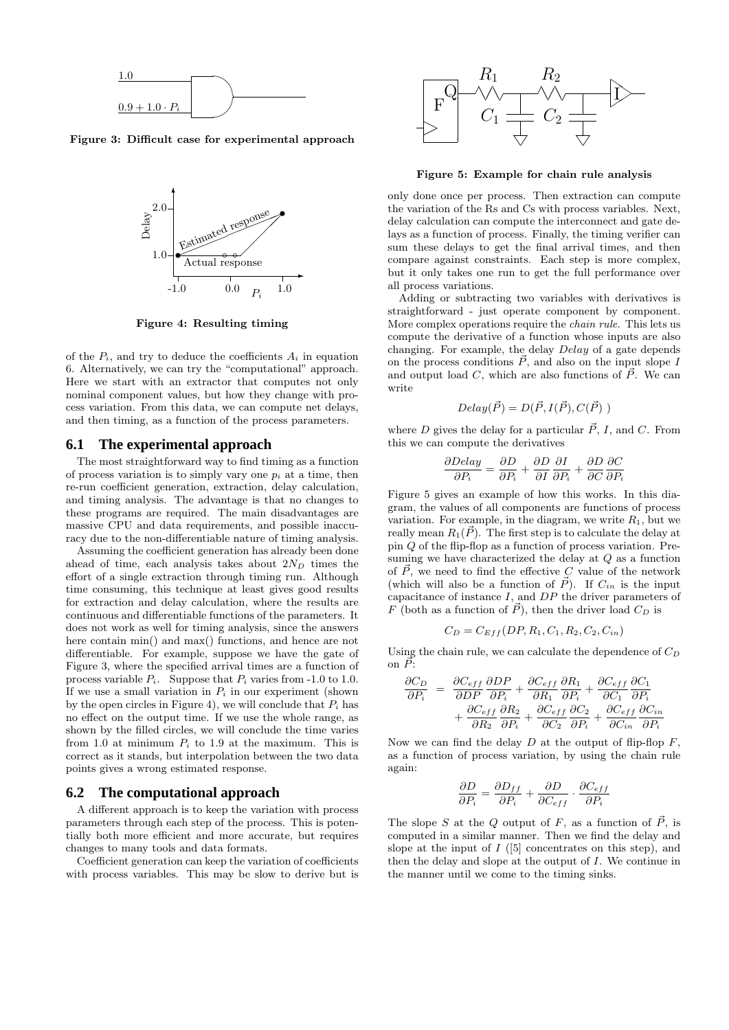

Figure 3: Difficult case for experimental approach



Figure 4: Resulting timing

of the  $P_i$ , and try to deduce the coefficients  $A_i$  in equation 6. Alternatively, we can try the "computational" approach. Here we start with an extractor that computes not only nominal component values, but how they change with process variation. From this data, we can compute net delays, and then timing, as a function of the process parameters.

#### **6.1 The experimental approach**

The most straightforward way to find timing as a function of process variation is to simply vary one  $p_i$  at a time, then re-run coefficient generation, extraction, delay calculation, and timing analysis. The advantage is that no changes to these programs are required. The main disadvantages are massive CPU and data requirements, and possible inaccuracy due to the non-differentiable nature of timing analysis.

Assuming the coefficient generation has already been done ahead of time, each analysis takes about  $2N_D$  times the effort of a single extraction through timing run. Although time consuming, this technique at least gives good results for extraction and delay calculation, where the results are continuous and differentiable functions of the parameters. It does not work as well for timing analysis, since the answers here contain min() and max() functions, and hence are not differentiable. For example, suppose we have the gate of Figure 3, where the specified arrival times are a function of process variable  $P_i$ . Suppose that  $P_i$  varies from -1.0 to 1.0. If we use a small variation in  $P_i$  in our experiment (shown by the open circles in Figure 4), we will conclude that  $P_i$  has no effect on the output time. If we use the whole range, as shown by the filled circles, we will conclude the time varies from 1.0 at minimum  $P_i$  to 1.9 at the maximum. This is correct as it stands, but interpolation between the two data points gives a wrong estimated response.

#### **6.2 The computational approach**

A different approach is to keep the variation with process parameters through each step of the process. This is potentially both more efficient and more accurate, but requires changes to many tools and data formats.

Coefficient generation can keep the variation of coefficients with process variables. This may be slow to derive but is



Figure 5: Example for chain rule analysis

only done once per process. Then extraction can compute the variation of the Rs and Cs with process variables. Next, delay calculation can compute the interconnect and gate delays as a function of process. Finally, the timing verifier can sum these delays to get the final arrival times, and then compare against constraints. Each step is more complex, but it only takes one run to get the full performance over all process variations.

Adding or subtracting two variables with derivatives is straightforward - just operate component by component. More complex operations require the chain rule. This lets us compute the derivative of a function whose inputs are also changing. For example, the delay Delay of a gate depends on the process conditions  $\vec{P}$ , and also on the input slope I and output load C, which are also functions of  $\vec{P}$ . We can write

$$
Delay(\vec{P}) = D(\vec{P}, I(\vec{P}), C(\vec{P}))
$$

where D gives the delay for a particular  $\vec{P}$ , I, and C. From this we can compute the derivatives

$$
\frac{\partial Delay}{\partial P_i} = \frac{\partial D}{\partial P_i} + \frac{\partial D}{\partial I} \frac{\partial I}{\partial P_i} + \frac{\partial D}{\partial C} \frac{\partial C}{\partial P_i}
$$

Figure 5 gives an example of how this works. In this diagram, the values of all components are functions of process variation. For example, in the diagram, we write  $R_1$ , but we really mean  $R_1(\vec{P})$ . The first step is to calculate the delay at pin Q of the flip-flop as a function of process variation. Presuming we have characterized the delay at  $Q$  as a function of  $\vec{P}$ , we need to find the effective C value of the network (which will also be a function of  $\vec{P}$ ). If  $C_{in}$  is the input capacitance of instance I, and DP the driver parameters of F (both as a function of  $\vec{P}$ ), then the driver load  $C_D$  is

$$
C_D = C_{Eff}(DP, R_1, C_1, R_2, C_2, C_{in})
$$

Using the chain rule, we can calculate the dependence of  $C_D$ on  $\vec{P}$ :

$$
\frac{\partial C_D}{\partial P_i} = \frac{\partial C_{eff}}{\partial DP} \frac{\partial DP}{\partial P_i} + \frac{\partial C_{eff}}{\partial R_1} \frac{\partial R_1}{\partial P_i} + \frac{\partial C_{eff}}{\partial C_1} \frac{\partial C_1}{\partial P_i} \n+ \frac{\partial C_{eff}}{\partial R_2} \frac{\partial R_2}{\partial P_i} + \frac{\partial C_{eff}}{\partial C_2} \frac{\partial C_2}{\partial P_i} + \frac{\partial C_{eff}}{\partial C_{in}} \frac{\partial C_{in}}{\partial P_i}
$$

Now we can find the delay  $D$  at the output of flip-flop  $F$ , as a function of process variation, by using the chain rule again:

$$
\frac{\partial D}{\partial P_i} = \frac{\partial D_{ff}}{\partial P_i} + \frac{\partial D}{\partial C_{eff}} \cdot \frac{\partial C_{eff}}{\partial P_i}
$$

The slope S at the Q output of F, as a function of  $\vec{P}$ , is computed in a similar manner. Then we find the delay and slope at the input of  $I$  ([5] concentrates on this step), and then the delay and slope at the output of  $I$ . We continue in the manner until we come to the timing sinks.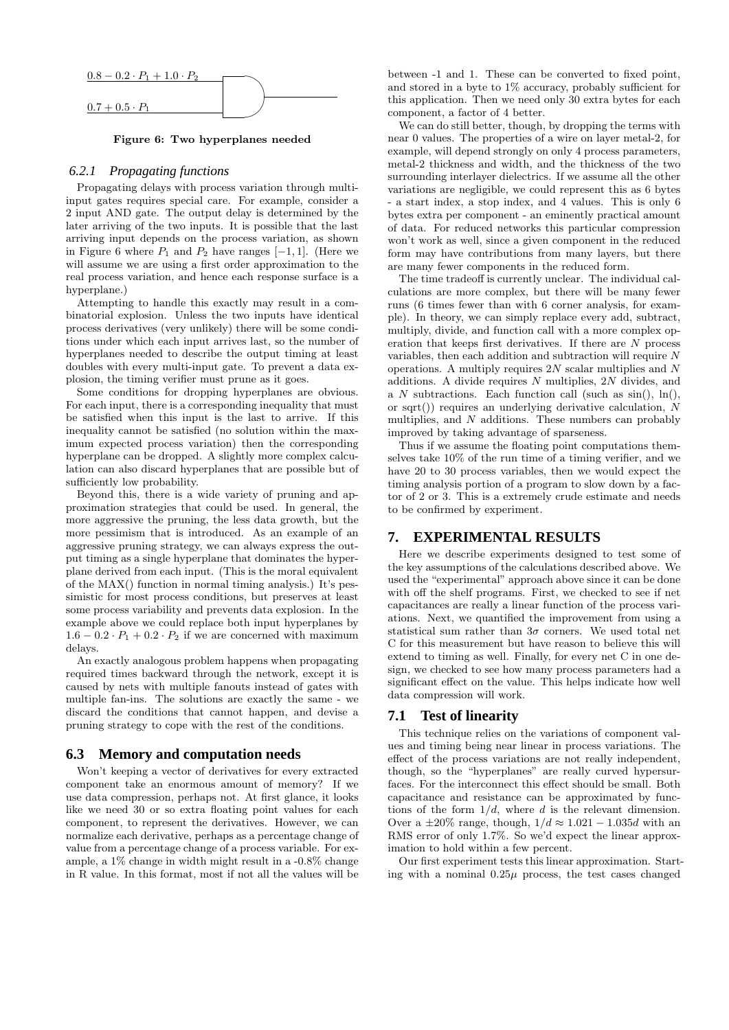

Figure 6: Two hyperplanes needed

#### *6.2.1 Propagating functions*

Propagating delays with process variation through multiinput gates requires special care. For example, consider a 2 input AND gate. The output delay is determined by the later arriving of the two inputs. It is possible that the last arriving input depends on the process variation, as shown in Figure 6 where  $P_1$  and  $P_2$  have ranges [−1, 1]. (Here we will assume we are using a first order approximation to the real process variation, and hence each response surface is a hyperplane.)

Attempting to handle this exactly may result in a combinatorial explosion. Unless the two inputs have identical process derivatives (very unlikely) there will be some conditions under which each input arrives last, so the number of hyperplanes needed to describe the output timing at least doubles with every multi-input gate. To prevent a data explosion, the timing verifier must prune as it goes.

Some conditions for dropping hyperplanes are obvious. For each input, there is a corresponding inequality that must be satisfied when this input is the last to arrive. If this inequality cannot be satisfied (no solution within the maximum expected process variation) then the corresponding hyperplane can be dropped. A slightly more complex calculation can also discard hyperplanes that are possible but of sufficiently low probability.

Beyond this, there is a wide variety of pruning and approximation strategies that could be used. In general, the more aggressive the pruning, the less data growth, but the more pessimism that is introduced. As an example of an aggressive pruning strategy, we can always express the output timing as a single hyperplane that dominates the hyperplane derived from each input. (This is the moral equivalent of the MAX() function in normal timing analysis.) It's pessimistic for most process conditions, but preserves at least some process variability and prevents data explosion. In the example above we could replace both input hyperplanes by  $1.6 - 0.2 \cdot P_1 + 0.2 \cdot P_2$  if we are concerned with maximum delays.

An exactly analogous problem happens when propagating required times backward through the network, except it is caused by nets with multiple fanouts instead of gates with multiple fan-ins. The solutions are exactly the same - we discard the conditions that cannot happen, and devise a pruning strategy to cope with the rest of the conditions.

#### **6.3 Memory and computation needs**

Won't keeping a vector of derivatives for every extracted component take an enormous amount of memory? If we use data compression, perhaps not. At first glance, it looks like we need 30 or so extra floating point values for each component, to represent the derivatives. However, we can normalize each derivative, perhaps as a percentage change of value from a percentage change of a process variable. For example, a 1% change in width might result in a -0.8% change in R value. In this format, most if not all the values will be

between -1 and 1. These can be converted to fixed point, and stored in a byte to 1% accuracy, probably sufficient for this application. Then we need only 30 extra bytes for each component, a factor of 4 better.

We can do still better, though, by dropping the terms with near 0 values. The properties of a wire on layer metal-2, for example, will depend strongly on only 4 process parameters, metal-2 thickness and width, and the thickness of the two surrounding interlayer dielectrics. If we assume all the other variations are negligible, we could represent this as 6 bytes - a start index, a stop index, and 4 values. This is only 6 bytes extra per component - an eminently practical amount of data. For reduced networks this particular compression won't work as well, since a given component in the reduced form may have contributions from many layers, but there are many fewer components in the reduced form.

The time tradeoff is currently unclear. The individual calculations are more complex, but there will be many fewer runs (6 times fewer than with 6 corner analysis, for example). In theory, we can simply replace every add, subtract, multiply, divide, and function call with a more complex operation that keeps first derivatives. If there are N process variables, then each addition and subtraction will require N operations. A multiply requires  $2N$  scalar multiplies and N additions. A divide requires N multiplies, 2N divides, and a N subtractions. Each function call (such as  $sin()$ ,  $ln()$ , or sqrt()) requires an underlying derivative calculation, N multiplies, and  $N$  additions. These numbers can probably improved by taking advantage of sparseness.

Thus if we assume the floating point computations themselves take 10% of the run time of a timing verifier, and we have 20 to 30 process variables, then we would expect the timing analysis portion of a program to slow down by a factor of 2 or 3. This is a extremely crude estimate and needs to be confirmed by experiment.

## **7. EXPERIMENTAL RESULTS**

Here we describe experiments designed to test some of the key assumptions of the calculations described above. We used the "experimental" approach above since it can be done with off the shelf programs. First, we checked to see if net capacitances are really a linear function of the process variations. Next, we quantified the improvement from using a statistical sum rather than  $3\sigma$  corners. We used total net C for this measurement but have reason to believe this will extend to timing as well. Finally, for every net C in one design, we checked to see how many process parameters had a significant effect on the value. This helps indicate how well data compression will work.

## **7.1 Test of linearity**

This technique relies on the variations of component values and timing being near linear in process variations. The effect of the process variations are not really independent, though, so the "hyperplanes" are really curved hypersurfaces. For the interconnect this effect should be small. Both capacitance and resistance can be approximated by functions of the form  $1/d$ , where d is the relevant dimension. Over a  $\pm 20\%$  range, though,  $1/d \approx 1.021 - 1.035d$  with an RMS error of only 1.7%. So we'd expect the linear approximation to hold within a few percent.

Our first experiment tests this linear approximation. Starting with a nominal  $0.25\mu$  process, the test cases changed